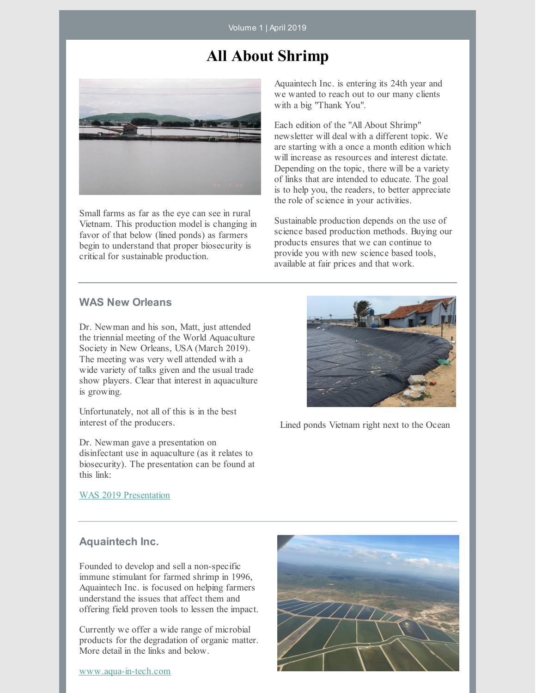Volume 1 | April 2019

# **All About Shrimp**



Small farms as far as the eye can see in rural Vietnam. This production model is changing in favor of that below (lined ponds) as farmers begin to understand that proper biosecurity is critical for sustainable production.

Aquaintech Inc. is entering its 24th year and we wanted to reach out to our many clients with a big "Thank You".

Each edition of the "All About Shrimp" newsletter will deal with a different topic. We are starting with a once a month edition which will increase as resources and interest dictate. Depending on the topic, there will be a variety of links that are intended to educate. The goal is to help you, the readers, to better appreciate the role of science in your activities.

Sustainable production depends on the use of science based production methods. Buying our products ensures that we can continue to provide you with new science based tools, available at fair prices and that work.

# **WAS New Orleans**

Dr. Newman and his son, Matt, just attended the triennial meeting of the World Aquaculture Society in New Orleans, USA (March 2019). The meeting was very well attended with a wide variety of talks given and the usual trade show players. Clear that interest in aquaculture is growing.

Unfortunately, not all of this is in the best interest of the producers.

Dr. Newman gave a presentation on disinfectant use in aquaculture (as it relates to biosecurity). The presentation can be found at this link:



Lined ponds Vietnam right next to the Ocean

WAS 2019 [Presentation](https://www.bioremediationaquaculture.com/links-from-newsletter.html)

### **Aquaintech Inc.**

Founded to develop and sell a non-specific immune stimulant for farmed shrimp in 1996, Aquaintech Inc. is focused on helping farmers understand the issues that affect them and offering field proven tools to lessen the impact.

Currently we offer a wide range of microbial products for the degradation of organic matter. More detail in the links and below.

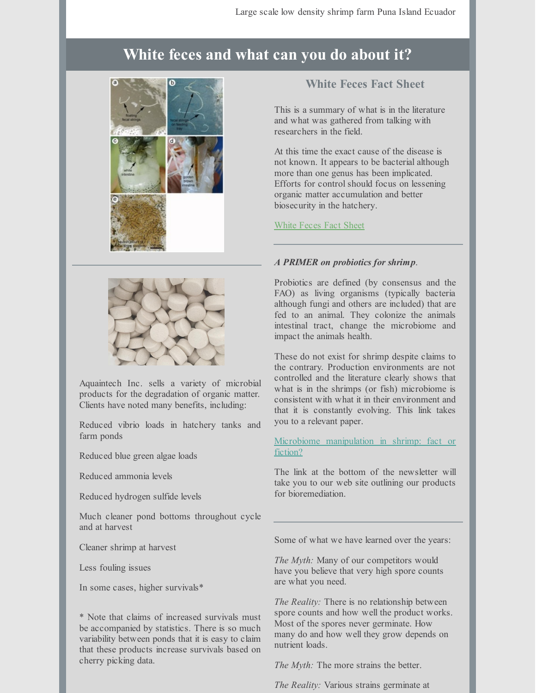# **White feces and what can you do about it?**



Aquaintech Inc. sells a variety of microbial products for the degradation of organic matter. Clients have noted many benefits, including:

Reduced vibrio loads in hatchery tanks and farm ponds

Reduced blue green algae loads

Reduced ammonia levels

Reduced hydrogen sulfide levels

Much cleaner pond bottoms throughout cycle and at harvest

Cleaner shrimp at harvest

Less fouling issues

In some cases, higher survivals\*

\* Note that claims of increased survivals must be accompanied by statistics. There is so much variability between ponds that it is easy to claim that these products increase survivals based on cherry picking data.

# **White Feces Fact Sheet**

This is a summary of what is in the literature and what was gathered from talking with researchers in the field.

At this time the exact cause of the disease is not known. It appears to be bacterial although more than one genus has been implicated. Efforts for control should focus on lessening organic matter accumulation and better biosecurity in the hatchery.

## [White](https://www.bioremediationaquaculture.com/links-from-newsletter.html) Feces Fact Sheet

## *A PRIMER on probiotics for shrimp*.

Probiotics are defined (by consensus and the FAO) as living organisms (typically bacteria although fungi and others are included) that are fed to an animal. They colonize the animals intestinal tract, change the microbiome and impact the animals health.

These do not exist for shrimp despite claims to the contrary. Production environments are not controlled and the literature clearly shows that what is in the shrimps (or fish) microbiome is consistent with what it in their environment and that it is constantly evolving. This link takes you to a relevant paper.

Microbiome [manipulation](https://www.bioremediationaquaculture.com/links-from-newsletter.html) in shrimp: fact or fiction?

The link at the bottom of the newsletter will take you to our web site outlining our products for bioremediation.

Some of what we have learned over the years:

*The Myth:* Many of our competitors would have you believe that very high spore counts are what you need.

*The Reality:* There is no relationship between spore counts and how well the product works. Most of the spores never germinate. How many do and how well they grow depends on nutrient loads.

*The Myth:* The more strains the better.

*The Reality:* Various strains germinate at